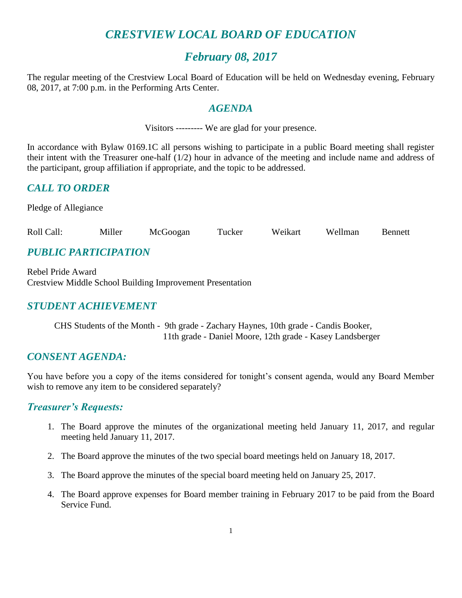# *CRESTVIEW LOCAL BOARD OF EDUCATION*

# *February 08, 2017*

The regular meeting of the Crestview Local Board of Education will be held on Wednesday evening, February 08, 2017, at 7:00 p.m. in the Performing Arts Center.

#### *AGENDA*

Visitors --------- We are glad for your presence.

In accordance with Bylaw 0169.1C all persons wishing to participate in a public Board meeting shall register their intent with the Treasurer one-half (1/2) hour in advance of the meeting and include name and address of the participant, group affiliation if appropriate, and the topic to be addressed.

#### *CALL TO ORDER*

Pledge of Allegiance

| Roll Call: | Miller | McGoogan | Tucker | Weikart | Wellman | Bennett |
|------------|--------|----------|--------|---------|---------|---------|
|------------|--------|----------|--------|---------|---------|---------|

## *PUBLIC PARTICIPATION*

Rebel Pride Award Crestview Middle School Building Improvement Presentation

#### *STUDENT ACHIEVEMENT*

CHS Students of the Month - 9th grade - Zachary Haynes, 10th grade - Candis Booker, 11th grade - Daniel Moore, 12th grade - Kasey Landsberger

#### *CONSENT AGENDA:*

You have before you a copy of the items considered for tonight's consent agenda, would any Board Member wish to remove any item to be considered separately?

#### *Treasurer's Requests:*

- 1. The Board approve the minutes of the organizational meeting held January 11, 2017, and regular meeting held January 11, 2017.
- 2. The Board approve the minutes of the two special board meetings held on January 18, 2017.
- 3. The Board approve the minutes of the special board meeting held on January 25, 2017.
- 4. The Board approve expenses for Board member training in February 2017 to be paid from the Board Service Fund.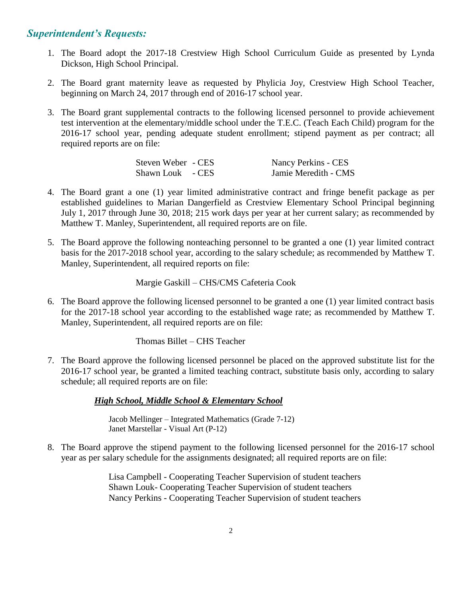#### *Superintendent's Requests:*

- 1. The Board adopt the 2017-18 Crestview High School Curriculum Guide as presented by Lynda Dickson, High School Principal.
- 2. The Board grant maternity leave as requested by Phylicia Joy, Crestview High School Teacher, beginning on March 24, 2017 through end of 2016-17 school year.
- 3. The Board grant supplemental contracts to the following licensed personnel to provide achievement test intervention at the elementary/middle school under the T.E.C. (Teach Each Child) program for the 2016-17 school year, pending adequate student enrollment; stipend payment as per contract; all required reports are on file:

| Steven Weber - CES | Nancy Perkins - CES  |
|--------------------|----------------------|
| Shawn Louk - CES   | Jamie Meredith - CMS |

- 4. The Board grant a one (1) year limited administrative contract and fringe benefit package as per established guidelines to Marian Dangerfield as Crestview Elementary School Principal beginning July 1, 2017 through June 30, 2018; 215 work days per year at her current salary; as recommended by Matthew T. Manley, Superintendent, all required reports are on file.
- 5. The Board approve the following nonteaching personnel to be granted a one (1) year limited contract basis for the 2017-2018 school year, according to the salary schedule; as recommended by Matthew T. Manley, Superintendent, all required reports on file:

Margie Gaskill – CHS/CMS Cafeteria Cook

6. The Board approve the following licensed personnel to be granted a one (1) year limited contract basis for the 2017-18 school year according to the established wage rate; as recommended by Matthew T. Manley, Superintendent, all required reports are on file:

Thomas Billet – CHS Teacher

7. The Board approve the following licensed personnel be placed on the approved substitute list for the 2016-17 school year, be granted a limited teaching contract, substitute basis only, according to salary schedule; all required reports are on file:

*High School, Middle School & Elementary School*

 Jacob Mellinger – Integrated Mathematics (Grade 7-12) Janet Marstellar - Visual Art (P-12)

8. The Board approve the stipend payment to the following licensed personnel for the 2016-17 school year as per salary schedule for the assignments designated; all required reports are on file:

> Lisa Campbell - Cooperating Teacher Supervision of student teachers Shawn Louk- Cooperating Teacher Supervision of student teachers Nancy Perkins - Cooperating Teacher Supervision of student teachers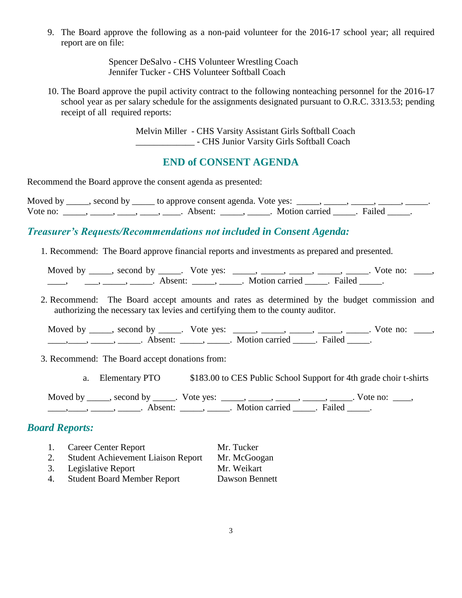9. The Board approve the following as a non-paid volunteer for the 2016-17 school year; all required report are on file:

> Spencer DeSalvo - CHS Volunteer Wrestling Coach Jennifer Tucker - CHS Volunteer Softball Coach

10. The Board approve the pupil activity contract to the following nonteaching personnel for the 2016-17 school year as per salary schedule for the assignments designated pursuant to O.R.C. 3313.53; pending receipt of all required reports:

> Melvin Miller - CHS Varsity Assistant Girls Softball Coach \_\_\_\_\_\_\_\_\_\_\_\_\_ - CHS Junior Varsity Girls Softball Coach

#### **END of CONSENT AGENDA**

Recommend the Board approve the consent agenda as presented:

| Moved by | $\sim$ second by | to approve consent agenda. Vote yes: |                |        |  |
|----------|------------------|--------------------------------------|----------------|--------|--|
| Vote no: |                  | Absent:                              | Motion carried | Failed |  |

#### *Treasurer's Requests/Recommendations not included in Consent Agenda:*

1. Recommend: The Board approve financial reports and investments as prepared and presented.

| Moved by | $\sim$ second by | Vote yes:           |                |        | Vote no: |  |
|----------|------------------|---------------------|----------------|--------|----------|--|
|          |                  | Absent <sup>.</sup> | Motion carried | Failed |          |  |

2. Recommend: The Board accept amounts and rates as determined by the budget commission and authorizing the necessary tax levies and certifying them to the county auditor.

Moved by \_\_\_\_, second by \_\_\_\_\_. Vote yes: \_\_\_\_, \_\_\_\_, \_\_\_\_, \_\_\_\_, \_\_\_\_, Vote no: \_\_\_, \_\_\_\_\_, \_\_\_\_\_, \_\_\_\_\_\_\_. Absent: \_\_\_\_\_\_, \_\_\_\_\_\_. Motion carried \_\_\_\_\_\_. Failed \_\_\_\_\_.

3. Recommend: The Board accept donations from:

a. Elementary PTO \$183.00 to CES Public School Support for 4th grade choir t-shirts

Moved by \_\_\_\_\_, second by \_\_\_\_\_. Vote yes:  $\_\_\_\_\_\_\_\_\_\_\_\_\_\_\_$  \_\_\_\_\_, \_\_\_\_\_, \_\_\_\_\_. Vote no:  $\_\_\_\_\_\_\$ \_\_\_\_\_, \_\_\_\_\_, \_\_\_\_\_\_\_. Absent: \_\_\_\_\_\_, \_\_\_\_\_\_. Motion carried \_\_\_\_\_\_. Failed \_\_\_\_\_.

#### *Board Reports:*

- 1. Career Center Report Mr. Tucker 2. Student Achievement Liaison Report Mr. McGoogan
- 3. Legislative Report Mr. Weikart
- 4. Student Board Member Report Dawson Bennett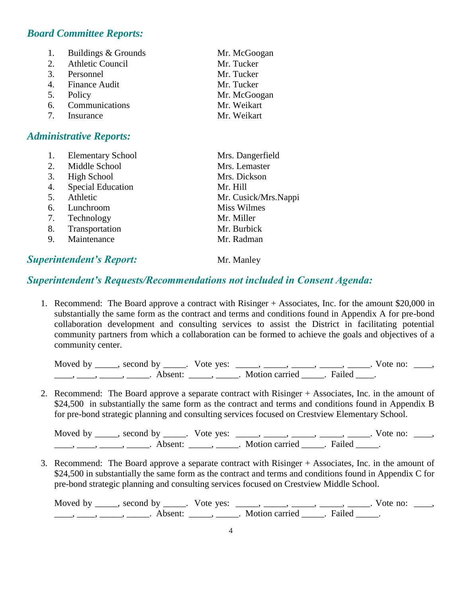#### *Board Committee Reports:*

| 1.          | Buildings & Grounds | Mr. McGoogan |
|-------------|---------------------|--------------|
|             | 2. Athletic Council | Mr. Tucker   |
|             | 3. Personnel        | Mr. Tucker   |
|             | 4. Finance Audit    | Mr. Tucker   |
|             | 5. Policy           | Mr. McGoogan |
|             | 6. Communications   | Mr. Weikart  |
| $7_{\circ}$ | Insurance           | Mr. Weikart  |

#### *Administrative Reports:*

|    | <b>Elementary School</b> | Mrs. Dangerfield     |
|----|--------------------------|----------------------|
| 2. | Middle School            | Mrs. Lemaster        |
| 3. | <b>High School</b>       | Mrs. Dickson         |
| 4. | <b>Special Education</b> | Mr. Hill             |
| 5. | Athletic                 | Mr. Cusick/Mrs.Nappi |
| 6. | Lunchroom                | <b>Miss Wilmes</b>   |
| 7. | Technology               | Mr. Miller           |
| 8. | Transportation           | Mr. Burbick          |
| 9. | Maintenance              | Mr. Radman           |
|    |                          |                      |

## **Superintendent's Report:** Mr. Manley

### *Superintendent's Requests/Recommendations not included in Consent Agenda:*

1. Recommend: The Board approve a contract with Risinger + Associates, Inc. for the amount \$20,000 in substantially the same form as the contract and terms and conditions found in Appendix A for pre-bond collaboration development and consulting services to assist the District in facilitating potential community partners from which a collaboration can be formed to achieve the goals and objectives of a community center.

| Moved by ______, second by ______ | Vote yes: |                |        | Vote no: |  |
|-----------------------------------|-----------|----------------|--------|----------|--|
| Absent <sup>.</sup>               |           | Motion carried | Failed |          |  |

2. Recommend: The Board approve a separate contract with Risinger + Associates, Inc. in the amount of \$24,500 in substantially the same form as the contract and terms and conditions found in Appendix B for pre-bond strategic planning and consulting services focused on Crestview Elementary School.

Moved by \_\_\_\_, second by \_\_\_\_\_. Vote yes:  $\frac{1}{\sqrt{2}}$ , \_\_\_\_, \_\_\_\_, \_\_\_\_, \_\_\_\_. Vote no: \_\_\_, \_\_\_\_\_, \_\_\_\_\_\_, \_\_\_\_\_\_\_. Absent: \_\_\_\_\_\_, \_\_\_\_\_\_. Motion carried \_\_\_\_\_\_. Failed \_\_\_\_\_.

3. Recommend: The Board approve a separate contract with Risinger + Associates, Inc. in the amount of \$24,500 in substantially the same form as the contract and terms and conditions found in Appendix C for pre-bond strategic planning and consulting services focused on Crestview Middle School.

Moved by \_\_\_\_\_, second by \_\_\_\_\_. Vote yes: \_\_\_\_\_, \_\_\_\_\_, \_\_\_\_\_, \_\_\_\_\_, \_\_\_\_. Vote no: \_\_\_\_, \_\_\_\_\_, \_\_\_\_\_\_, \_\_\_\_\_\_\_. Absent: \_\_\_\_\_\_, \_\_\_\_\_\_. Motion carried \_\_\_\_\_\_. Failed \_\_\_\_\_.